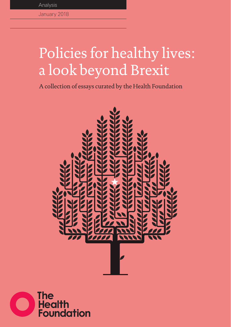## Policies for healthy lives: a look beyond Brexit

A collection of essays curated by the Health Foundation



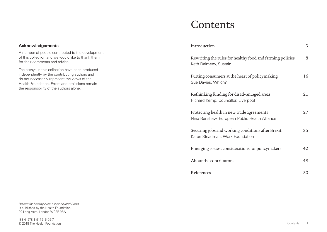## Contents

|                              | Introduction                                                                               | 3  |
|------------------------------|--------------------------------------------------------------------------------------------|----|
| velopment<br>nk them         | Rewriting the rules for healthy food and farming policies<br>Kath Dalmeny, Sustain         | 8  |
| duced<br>and<br>the<br>emain | Putting consumers at the heart of policymaking<br>Sue Davies, Which?                       | 16 |
|                              | Rethinking funding for disadvantaged areas<br>Richard Kemp, Councillor, Liverpool          | 21 |
|                              | Protecting health in new trade agreements<br>Nina Renshaw, European Public Health Alliance | 27 |
|                              | Securing jobs and working conditions after Brexit<br>Karen Steadman, Work Foundation       | 35 |
|                              | Emerging issues: considerations for policymakers                                           | 42 |
|                              | About the contributors                                                                     | 48 |
|                              | References                                                                                 | 50 |

### **Acknowledgements**

A number of people contributed to the dev of this collection and we would like to than for their comments and advice.

The essays in this collection have been pro independently by the contributing authors do not necessarily represent the views of Health Foundation. Errors and omissions remain the responsibility of the authors alone.

*Policies for healthy lives: a look beyond Brexit* is published by the Health Foundation, 90 Long Acre, London WC2E 9RA

ISBN: 978-1-911615-05-7 © 2018 The Health Foundation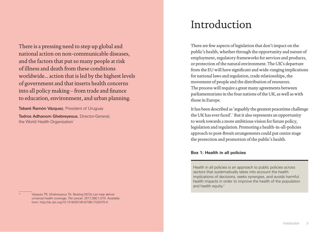<span id="page-2-0"></span>There is a pressing need to step up global and national action on non-communicable diseases, and the factors that put so many people at risk of illness and death from these conditions worldwide... action that is led by the highest levels of government and that inserts health concerns into all policy making – from trade and finance to education, environment, and urban planning.

Tabaré Ramón Vázquez, President of Uruguay

Tedros Adhanom Ghebreyesus, Director-General, the World Health Organization<sup>\*</sup>

## Introduction

There are few aspects of legislation that don't impact on the public's health, whether through the opportunity and nature of employment, regulatory frameworks for services and products, or protection of the natural environment. The UK's departure from the EU will have significant and wide-ranging implications for national laws and regulation, trade relationships, the movement of people and the distribution of resources. The process will require a great many agreements between parliamentarians in the four nations of the UK, as well as with those in Europe.

It has been described as 'arguably the greatest peacetime challenge the UK has ever faced'.<sup>[1](#page-26-1)</sup> But it also represents an opportunity to work towards a more ambitious vision for future policy, legislation and regulation. Promoting a health-in-all-policies approach to post-Brexit arrangements could put centre stage the protection and promotion of the public's health.

### **Box 1: Health in all policies**

Health in all policies is an approach to public policies across sectors that systematically takes into account the health implications of decisions, seeks synergies, and avoids harmful health impacts in order to improve the health of the population and health equity[.2](#page-26-2)

Vázquez TR, Ghebreyesus TA. Beating NCDs can help deliver universal health coverage. *The Lancet*. 2017;390:1,010. Available from: [http://dx.doi.org/10.1016/S0140-6736\(17\)32470-4](http://dx.doi.org/10.1016/S0140-6736(17)32470-4)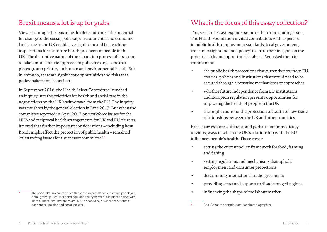### Brexit means a lot is up for grabs

Viewed through the lens of health determinants,\* the potential for change to the social, political, environmental and economic landscape in the UK could have significant and far-reaching implications for the future health prospects of people in the UK. The disruptive nature of the separation process offers scope to take a more holistic approach to policymaking – one that places greater priority on human and environmental health. But in doing so, there are significant opportunities and risks that policymakers must consider.

In September 2016, the Health Select Committee launched an inquiry into the priorities for health and social care in the negotiations on the UK's withdrawal from the EU. The inquiry was cut short by the general election in June 2017. But when the committee reported in April 2017 on workforce issues for the NHS and reciprocal health arrangements for UK and EU citizens, it noted that further important considerations – including how Brexit might affect the protection of public health – remained 'outstanding issues for a successor committee'.[3](#page-26-3)

## What is the focus of this essay collection?

This series of essays explores some of these outstanding issues. The Health Foundation invited contributors with expertise in public health, employment standards, local government, consumer rights and food policy\* to share their insights on the potential risks and opportunities ahead. We asked them to comment on:

- the public health protections that currently flow from EU treaties, policies and institutions that would need to be secured through alternative mechanisms or approaches
- whether future independence from EU institutions and European regulation presents opportunities for improving the health of people in the UK
- the implications for the protection of health of new trade relationships between the UK and other countries.

Each essay explores different, and perhaps not immediately obvious, ways in which the UK's relationship with the EU influences people's health. These cover:

- setting the current policy framework for food, farming and fishing
- setting regulations and mechanisms that uphold employment and consumer protections
- determining international trade agreements
- providing structural support to disadvantaged regions
- influencing the shape of the labour market.

The social determinants of health are the circumstances in which people are born, grow up, live, work and age, and the systems put in place to deal with illness. These circumstances are in turn shaped by a wider set of forces: economics, politics and social policies.

See 'About the contributors' for short biographies.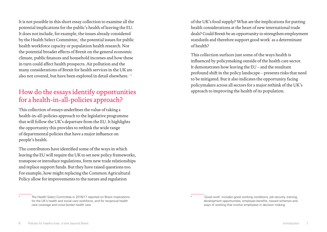It is not possible in this short essay collection to examine all the potential implications for the public's health of leaving the EU. It does not include, for example, the issues already considered by the Health Select Committee,\* the potential issues for public health workforce capacity or population health research. Nor the potential broader effects of Brexit on the general economic climate, public finances and household incomes and how these in turn could affect health prospects. Air pollution and the many considerations of Brexit for health services in the UK are also not covered, but have been explored in detail elsewhere.<sup>[1](#page-26-1),[4](#page-26-4)</sup>

### How do the essays identify opportunities for a health-in-all-policies approach?

This collection of essays underlines the value of taking a health-in-all-policies approach to the legislative programme that will follow the UK's departure from the EU. It highlights the opportunity this provides to rethink the wide range of departmental policies that have a major influence on people's health.

The contributors have identified some of the ways in which leaving the EU will require the UK to set new policy frameworks, transpose or introduce regulations, form new trade relationships and replace support funds. But they have raised questions too. For example, how might replacing the Common Agricultural Policy allow for improvements to the nature and regulation

of the UK's food supply? What are the implications for putting health considerations at the heart of new international trade deals? Could Brexit be an opportunity to strengthen employment standards and therefore support good work\* as a determinant of health?

This collection surfaces just some of the ways health is influenced by policymaking outside of the health care sector. It demonstrates how leaving the EU – and the resultant profound shift in the policy landscape – presents risks that need to be mitigated. But it also indicates the opportunity facing policymakers across all sectors for a major rethink of the UK's approach to improving the health of its population.

\* 'Good work' includes good working conditions, job security, training, development opportunities, employee benefits, reward schemes and ways of working that involve employees in decision making.

The Health Select Committee in 2016/17 reported on Brexit implications for the UK's health and social care workforce, and for reciprocal health care coverage and cross-border health care.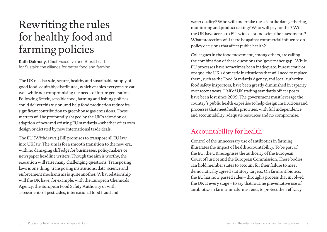# <span id="page-5-0"></span>Rewriting the rules for healthy food and farming policies

Kath Dalmeny, Chief Executive and Brexit Lead for Sustain: the alliance for better food and farming

The UK needs a safe, secure, healthy and sustainable supply of good food, equitably distributed, which enables everyone to eat well while not compromising the needs of future generations. Following Brexit, sensible food, farming and fishing policies could deliver this vision, and help food production reduce its significant contribution to greenhouse gas emissions. These matters will be profoundly shaped by the UK's adoption or adaption of new and existing EU standards – whether of its own design or dictated by new international trade deals.

The EU (Withdrawal) Bill promises to transpose all EU law into UK law. The aim is for a smooth transition to the new era, with no damaging cliff edge for businesses, policymakers or newspaper headline writers. Though the aim is worthy, the execution will raise many challenging questions. Transposing laws is one thing; transposing institutions, data, science and enforcement mechanisms is quite another. What relationship will the UK have, for example, with the European Chemicals Agency, the European Food Safety Authority or with assessments of pesticides, international food fraud and

water quality? Who will undertake the scientific data gathering, monitoring and product testing? Who will pay for this? Will the UK have access to EU-wide data and scientific assessments? What protection will there be against commercial influence on policy decisions that affect public health?

Colleagues in the food movement, among others, are calling the combination of these questions the 'governance gap'. While EU processes have sometimes been inadequate, bureaucratic or opaque, the UK's domestic institutions that will need to replace them, such as the Food Standards Agency, and local authority food safety inspectors, have been greatly diminished in capacity over recent years. Half of UK trading standards officer posts have been lost since 2009. The government must leverage the country's public health expertise to help design institutions and processes that meet health priorities, with full independence and accountability, adequate resources and no compromise.

### Accountability for health

Control of the unnecessary use of antibiotics in farming illustrates the impact of health accountability. To be part of the EU, the UK recognises the authority of the European Court of Justice and the European Commission. These bodies can hold member states to account for their failure to meet democratically agreed statutory targets. On farm antibiotics, the EU has now passed rules – through a process that involved the UK at every stage – to say that routine preventative use of antibiotics in farm animals must end, to protect their efficacy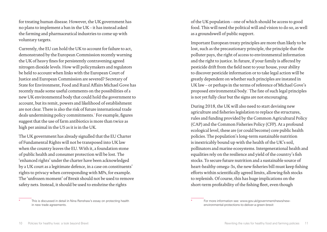for treating human disease. However, the UK government has no plans to implement a ban in the UK – it has instead asked the farming and pharmaceutical industries to come up with voluntary targets.

Currently, the EU can hold the UK to account for failure to act, demonstrated by the European Commission recently warning the UK of heavy fines for persistently contravening agreed nitrogen dioxide levels. How will policymakers and regulators be held to account when links with the European Court of Justice and European Commission are severed? Secretary of State for Environment, Food and Rural Affairs Michael Gove has recently made some useful comments on the possibilities of a new UK environmental body that could hold the government to account, but its remit, powers and likelihood of establishment are not clear. There is also the risk of future international trade deals undermining policy commitments.\* For example, figures suggest that the use of farm antibiotics is more than twice as high per animal in the US as it is in the UK.

The UK government has already signalled that the EU Charter of Fundamental Rights will not be transposed into UK law when the country leaves the EU. With it, a foundation stone of public health and consumer protection will be lost. The 'enhanced rights' under the charter have been acknowledged by a UK court as a legitimate defence, in a case on constituents' rights to privacy when corresponding with MPs, for example. The 'unfrozen moment' of Brexit should not be used to remove safety nets. Instead, it should be used to enshrine the rights

of the UK population – one of which should be access to good food. This will need the political will and vision to do so, as well as a groundswell of public support.

Important European treaty principles are more than likely to be lost, such as the precautionary principle, the principle that the polluter pays, the right of access to environmental information and the right to justice. In future, if your family is affected by pesticide drift from the field next to your house, your ability to discover pesticide information or to take legal action will be greatly dependent on whether such principles are instated in UK law – or perhaps in the terms of reference of Michael Gove's proposed environmental body.\* The fate of such legal principles is not yet fully clear but the signs are not encouraging.

During 2018, the UK will also need to start devising new agriculture and fisheries legislation to replace the structures, rules and funding provided by the Common Agricultural Policy (CAP) and the Common Fisheries Policy (CFP). At a profound ecological level, these are (or could become) core public health policies. The population's long-term sustainable nutrition is inextricably bound up with the health of the UK's soil, pollinators and marine ecosystems. Intergenerational health and equalities rely on the resilience and yield of the country's fish stocks. To secure future nutrition and a sustainable source of heart-healthy omega-3s, the new fisheries bill must keep fishing efforts within scientifically agreed limits, allowing fish stocks to replenish. Of course, this has huge implications on the short-term profitability of the fishing fleet, even though

This is discussed in detail in Nina Renshaw's essay on protecting health in new trade agreements.

For more information see: [www.gov.uk/government/news/new](http://www.gov.uk/government/news/new-environmental-protections-to-deliver-a-green-brexit)[environmental-protections-to-deliver-a-green-brexit](http://www.gov.uk/government/news/new-environmental-protections-to-deliver-a-green-brexit)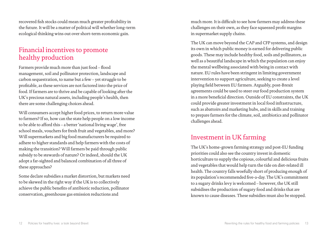recovered fish stocks could mean much greater profitability in the future. It will be a matter of political will whether long-term ecological thinking wins out over short-term economic gain.

### Financial incentives to promote healthy production

Farmers provide much more than just food – flood management, soil and pollinator protection, landscape and carbon sequestration, to name but a few – yet struggle to be profitable, as these services are not factored into the price of food. If farmers are to thrive and be capable of looking after the UK's precious natural assets, including people's health, then there are some challenging choices ahead.

Will consumers accept higher food prices, to return more value to farmers? If so, how can the state help people on a low income to be able to afford this – a better 'national living wage', free school meals, vouchers for fresh fruit and vegetables, and more? Will supermarkets and big food manufacturers be required to adhere to higher standards and help farmers with the costs of making the transition? Will farmers be paid through public subsidy to be stewards of nature? Or indeed, should the UK adopt a far-sighted and balanced combination of all three of these approaches?

Some declare subsidies a market distortion, but markets need to be skewed in the right way if the UK is to collectively achieve the public benefits of antibiotic reduction, pollinator conservation, greenhouse gas emission reductions and

much more. It is difficult to see how farmers may address these challenges on their own, as they face squeezed profit margins in supermarket supply chains.

The UK can move beyond the CAP and CFP systems, and design its own in which public money is earned for delivering public goods. These may include healthy food, soils and pollinators, as well as a beautiful landscape in which the population can enjoy the mental wellbeing associated with being in contact with nature. EU rules have been stringent in limiting government intervention to support agriculture, seeking to create a level playing field between EU farmers. Arguably, post-Brexit agreements could be used to steer our food production system in a more beneficial direction. Outside of EU constraints, the UK could provide greater investment in local food infrastructure, such as abattoirs and marketing hubs, and in skills and training to prepare farmers for the climate, soil, antibiotics and pollinator challenges ahead.

### Investment in UK farming

The UK's home-grown farming strategy and post-EU funding priorities could also see the country invest in domestic horticulture to supply the copious, colourful and delicious fruits and vegetables that would help turn the tide on diet-related ill health. The country falls woefully short of producing enough of its population's recommended five-a-day. The UK's commitment to a sugary drinks levy is welcomed – however, the UK still subsidises the production of sugary food and drinks that are known to cause diseases. These subsidies must also be stopped.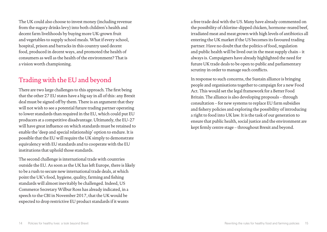The UK could also choose to invest money (including revenue from the sugary drinks levy) into both children's health and decent farm livelihoods by buying more UK-grown fruit and vegetables to supply school meals. What if every school, hospital, prison and barracks in this country used decent food, produced in decent ways, and promoted the health of consumers as well as the health of the environment? That is a vision worth championing.

### Trading with the EU and beyond

There are two large challenges to this approach. The first being that the other 27 EU states have a big say in all of this: any Brexit deal must be signed off by them. There is an argument that they will not wish to see a potential future trading partner operating to lower standards than required in the EU, which could put EU producers at a competitive disadvantage. Ultimately, the EU-27 will have great influence on which standards must be retained to enable the 'deep and special relationship' option to endure. It is possible that the EU will require the UK simply to demonstrate equivalency with EU standards and to cooperate with the EU institutions that uphold those standards.

The second challenge is international trade with countries outside the EU. As soon as the UK has left Europe, there is likely to be a rush to secure new international trade deals, at which point the UK's food, hygiene, quality, farming and fishing standards will almost inevitably be challenged. Indeed, US Commerce Secretary Wilbur Ross has already indicated, in a speech to the CBI in November 2017, that the UK would be expected to drop restrictive EU product standards if it wants

a free trade deal with the US. Many have already commented on the possibility of chlorine-dipped chicken, hormone-reared beef, irradiated meat and meat grown with high levels of antibiotics all entering the UK market if the US becomes its favoured trading partner. Have no doubt that the politics of food, regulation and public health will be lived out in the meat supply chain – it always is. Campaigners have already highlighted the need for future UK trade deals to be open to public and parliamentary scrutiny in order to manage such conflicts.

In response to such concerns, the Sustain alliance is bringing people and organisations together to campaign for a new Food Act. This would set the legal framework for a Better Food Britain. The alliance is also developing proposals – through consultation – for new systems to replace EU farm subsidies and fishery policies and exploring the possibility of introducing a right to food into UK law. It is the task of our generation to ensure that public health, social justice and the environment are kept firmly centre stage – throughout Brexit and beyond.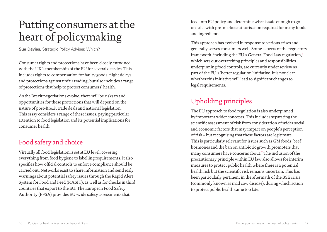# <span id="page-9-0"></span>Putting consumers at the heart of policymaking

Sue Davies, Strategic Policy Adviser, Which?

Consumer rights and protections have been closely entwined with the UK's membership of the EU for several decades. This includes rights to compensation for faulty goods, flight delays and protections against unfair trading, but also includes a range of protections that help to protect consumers' health.

As the Brexit negotiations evolve, there will be risks to and opportunities for these protections that will depend on the nature of post-Brexit trade deals and national legislation. This essay considers a range of these issues, paying particular attention to food legislation and its potential implications for consumer health.

### Food safety and choice

Virtually all food legislation is set at EU level, covering everything from food hygiene to labelling requirements. It also specifies how official controls to enforce compliance should be carried out. Networks exist to share information and send early warnings about potential safety issues through the Rapid Alert System for Food and Feed (RASFF), as well as for checks in third countries that export to the EU. The European Food Safety Authority (EFSA) provides EU-wide safety assessments that

feed into EU policy and determine what is safe enough to go on sale, with pre-market authorisation required for many foods and ingredients.

This approach has evolved in response to various crises and generally serves consumers well. Some aspects of the regulatory framework, including the EU's General Food Law regulation,[1](#page-26-5) which sets out overarching principles and responsibilities underpinning food controls, are currently under review as part of the EU's 'better regulation' initiative. It is not clear whether this initiative will lead to significant changes to legal requirements.

## Upholding principles

The EU approach to food regulation is also underpinned by important wider concepts. This includes separating the scientific assessment of risk from consideration of wider social and economic factors that may impact on people's perception of risk – but recognising that these factors are legitimate. This is particularly relevant for issues such as GM foods, beef hormones and the ban on antibiotic growth promoters that many consumers have concerns about.[2](#page-26-6) The inclusion of the precautionary principle within EU law also allows for interim measures to protect public health where there is a potential health risk but the scientific risk remains uncertain. This has been particularly pertinent in the aftermath of the BSE crisis (commonly known as mad cow disease), during which action to protect public health came too late.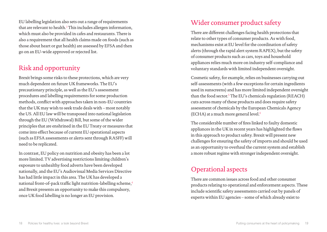EU labelling legislation also sets out a range of requirements that are relevant to health. $^3$  $^3$  This includes allergen information, which must also be provided in cafes and restaurants. There is also a requirement that all health claims made on foods (such as those about heart or gut health) are assessed by EFSA and then go on an EU-wide approved or rejected list.

## Risk and opportunity

Brexit brings some risks to these protections, which are very much dependent on future UK frameworks. The EU's precautionary principle, as well as the EU's assessment procedures and labelling requirements for some production methods, conflict with approaches taken in non-EU countries that the UK may wish to seek trade deals with – most notably the US. All EU law will be transposed into national legislation through the EU (Withdrawal) Bill, but some of the wider principles that are enshrined in the EU Treaty or measures that come into effect because of current EU operational aspects (such as EFSA assessments or alerts sent through RASFF) will need to be replicated.

In contrast, EU policy on nutrition and obesity has been a lot more limited. TV advertising restrictions limiting children's exposure to unhealthy food adverts have been developed nationally, and the EU's Audiovisual Media Services Directive has had little impact in this area. The UK has developed a national front-of-pack traffic light nutrition-labelling scheme,[4](#page-26-10) and Brexit presents an opportunity to make this compulsory, once UK food labelling is no longer an EU provision.

### Wider consumer product safety

There are different challenges facing health protections that relate to other types of consumer products. As with food, mechanisms exist at EU level for the coordination of safety alerts (through the rapid alert system RAPEX), but the safety of consumer products such as cars, toys and household appliances relies much more on industry self-compliance and voluntary standards with limited independent oversight.

Cosmetic safety, for example, relies on businesses carrying out self-assessments (with a few exceptions for certain ingredients used in sunscreens) and has more limited independent oversight than the food sector. $5$  The EU's chemicals regulation (REACH) cuts across many of these products and does require safety assessment of chemicals by the European Chemicals Agency (ECHA) at a much more general level. $6$ 

The considerable number of fires linked to faulty domestic appliances in the UK in recent years has highlighted the flaws in this approach to product safety. Brexit will present new challenges for ensuring the safety of imports and should be used as an opportunity to overhaul the current system and establish a more robust regime with stronger independent oversight.

### Operational aspects

There are common issues across food and other consumer products relating to operational and enforcement aspects. These include scientific safety assessments carried out by panels of experts within EU agencies – some of which already exist to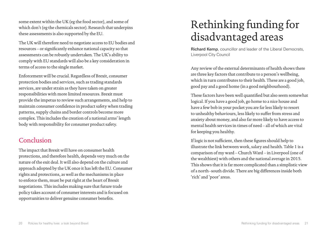<span id="page-11-0"></span>some extent within the UK (eg the food sector), and some of which don't (eg the chemicals sector). Research that underpins these assessments is also supported by the EU.

The UK will therefore need to negotiate access to EU bodies and resources – or significantly enhance national capacity so that assessments can be robustly undertaken. The UK's ability to comply with EU standards will also be a key consideration in terms of access to the single market.

Enforcement will be crucial. Regardless of Brexit, consumer protection bodies and services, such as trading standards services, are under strain as they have taken on greater responsibilities with more limited resources. Brexit must provide the impetus to review such arrangements, and help to maintain consumer confidence in product safety when trading patterns, supply chains and border controls become more complex. This includes the creation of a national arms' length body with responsibility for consumer product safety.

### Conclusion

The impact that Brexit will have on consumer health protections, and therefore health, depends very much on the nature of the exit deal. It will also depend on the culture and approach adopted by the UK once it has left the EU. Consumer rights and protections, as well as the mechanisms in place to enforce them, must be put right at the heart of Brexit negotiations. This includes making sure that future trade policy takes account of consumer interests and is focused on opportunities to deliver genuine consumer benefits.

# Rethinking funding for disadvantaged areas

Richard Kemp, councillor and leader of the Liberal Democrats, Liverpool City Council

Any review of the external determinants of health shows there are three key factors that contribute to a person's wellbeing, which in turn contributes to their health. These are a good job, good pay and a good home (in a good neighbourhood).

These factors have been well quantified but also seem somewhat logical. If you have a good job, go home to a nice house and have a few bob in your pocket you are far less likely to resort to unhealthy behaviours, less likely to suffer from stress and anxiety about money, and also far more likely to have access to mental health services in times of need – all of which are vital for keeping you healthy.

If logic is not sufficient, then these figures should help to illustrate the link between work, salary and health. Table 1 is a comparison of my ward – Church Ward – in Liverpool (one of the wealthiest) with others and the national average in 2015. This shows that it is far more complicated than a simplistic view of a north–south divide. There are big differences inside both 'rich' and 'poor' areas.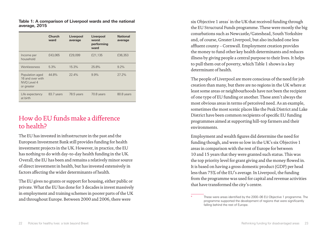**Table 1: A comparison of Liverpool wards and the national average, 2015**

|                                                                  | <b>Church</b><br>ward | Liverpool<br>average | Liverpool<br>worst<br>performing<br>ward | <b>National</b><br>average |
|------------------------------------------------------------------|-----------------------|----------------------|------------------------------------------|----------------------------|
| Income per<br>household                                          | £43,065               | £29,099              | £21,135                                  | £36,353                    |
| Worklessness                                                     | 5.3%                  | 15.3%                | 25.8%                                    | $9.2\%$                    |
| Population aged<br>16 and over with<br>NVO Level 4<br>or greater | 44.8%                 | 22.4%                | 9.9%                                     | 27.2%                      |
| Life expectancy<br>at birth                                      | 83.7 years            | 78.5 years           | 70.8 years                               | 80.8 years                 |

### How do EU funds make a difference to health?

The EU has invested in infrastructure in the past and the European Investment Bank still provides funding for health investment projects in the UK. However, in practice, the EU has nothing to do with day-to-day health funding in the UK. Overall, the EU has been and remains a relatively minor source of direct investment in health, but has invested extensively in factors affecting the wider determinants of health.

The EU gives no grants or support for housing, either public or private. What the EU has done for 3 decades is invest massively in employment and training schemes in poorer parts of the UK and throughout Europe. Between 2000 and 2006, there were

six Objective 1 areas\* in the UK that received funding through the EU Structural Funds programme. These were mostly the big conurbations such as Newcastle/Gateshead, South Yorkshire and, of course, Greater Liverpool, but also included one less affluent county – Cornwall. Employment creation provides the money to fund other key health determinants and reduces illness by giving people a central purpose to their lives. It helps to pull them out of poverty, which Table 1 shows is a key determinant of health.

The people of Liverpool are more conscious of the need for job creation than many, but there are no regions in the UK where at least some areas or neighbourhoods have not been the recipient of one type of EU funding or another. These aren't always the most obvious areas in terms of perceived need. As an example, sometimes the most scenic places like the Peak District and Lake District have been common recipients of specific EU funding programmes aimed at supporting hill-top farmers and their environments.

Employment and wealth figures did determine the need for funding though, and were so low in the UK's six Objective 1 areas in comparison with the rest of Europe for between 10 and 15 years that they were granted such status. This was the top priority level for grant giving and the money flowed in. It is based on having a gross domestic product (GDP) per head less than 75% of the EU's average. In Liverpool, the funding from the programme was used for capital and revenue activities that have transformed the city's centre.

These were areas identified by the 2000–06 EU Objective 1 programme. The programme supported the development of regions that were significantly falling behind the rest of Europe.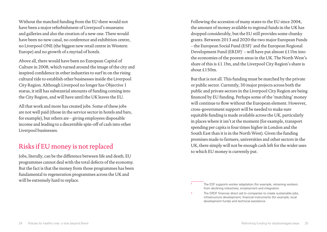Without the matched funding from the EU there would not have been a major refurbishment of Liverpool's museums and galleries and also the creation of a new one. There would have been no new canal, no conference and exhibition centre, no Liverpool ONE (the biggest new retail centre in Western Europe) and no growth of a myriad of hotels.

Above all, there would have been no European Capital of Culture in 2008, which turned around the image of the city and inspired confidence in other industries to surf in on the rising cultural tide to establish other businesses inside the Liverpool City Region. Although Liverpool no longer has Objective 1 status, it still has substantial amounts of funding coming into the City Region, and will have until the UK leaves the EU.

All that work and more has created jobs. Some of these jobs are not well paid (those in the service sector in hotels and bars, for example), but others are – giving employees disposable income and leading to a discernible spin-off of cash into other Liverpool businesses.

### Risks if EU money is not replaced

Jobs, literally, can be the difference between life and death. EU programmes cannot deal with the total defects of the economy. But the fact is that the money from those programmes has been fundamental to regeneration programmes across the UK and will be extremely hard to replace.

Following the accession of many states to the EU since 2004, the amount of money available to regional funds in the UK has dropped considerably, but the EU still provides some chunky grants. Between 2013 and 2020 the two major European Funds – the European Social Fund (ESF)\* and the European Regional Development Fund (ERDF)<sup>†</sup> – will have put almost £11bn into the economies of the poorest areas in the UK. The North West's share of this is £1.1bn, and the Liverpool City Region's share is about £150m.

But that is not all. This funding must be matched by the private or public sector. Currently, 30 major projects across both the public and private sectors in the Liverpool City Region are being financed by EU funding. Perhaps some of the 'matching' money will continue to flow without the European element. However, cross-government support will be needed to make sure equitable funding is made available across the UK, particularly in places where it isn't at the moment (for example, transport spending per capita is four times higher in London and the South East than it is in the North West). Given the funding promises made to farmers, universities and other sectors in the UK, there simply will not be enough cash left for the wider uses to which EU money is currently put.

The ESF supports worker adaptation (for example, retraining workers) from declining industries), employment and integration.

<sup>†</sup> The ERDF finances direct aid to companies to create sustainable jobs, infrastructure development, financial instruments (for example, local development funds) and technical assistance.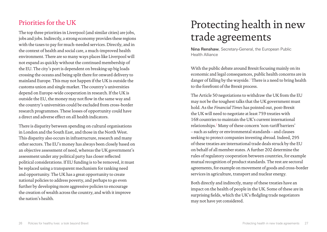### <span id="page-14-0"></span>Priorities for the UK

The top three priorities in Liverpool (and similar cities) are jobs, jobs and jobs. Indirectly, a strong economy provides these regions with the taxes to pay for much-needed services. Directly, and in the context of health and social care, a much-improved health environment. There are so many ways places like Liverpool will not expand as quickly without the continued membership of the EU. The city's port is dependent on breaking up big loads crossing the oceans and being split there for onward delivery to mainland Europe. This may not happen if the UK is outside the customs union and single market. The country's universities depend on Europe-wide cooperation in research. If the UK is outside the EU, the money may not flow in the same way and the country's universities could be excluded from cross-border research programmes. These losses of opportunity could have a direct and adverse effect on all health indicators.

There is disparity between spending on cultural organisations in London and the South East, and those in the North West. This disparity also occurs in infrastructure, research and many other sectors. The EU's money has always been closely based on an objective assessment of need, whereas the UK government's assessment under any political party has closer reflected political considerations. If EU funding is to be removed, it must be replaced using a transparent mechanism for ranking need and opportunity. The UK has a great opportunity to create national policies to address poverty, and perhaps to go even further by developing more aggressive policies to encourage the creation of wealth across the country, and with it improve the nation's health.

# Protecting health in new trade agreements

Nina Renshaw, Secretary-General, the European Public Health Alliance

With the public debate around Brexit focusing mainly on its economic and legal consequences, public health concerns are in danger of falling by the wayside.<sup>[1](#page-26-11)</sup> There is a need to bring health to the forefront of the Brexit process.

The Article 50 negotiations to withdraw the UK from the EU may not be the toughest talks that the UK government must hold. As the *Financial Times* has pointed out, post-Brexit the UK will need to negotiate at least 759 treaties with 168 countries to maintain the UK's current international relationships.<sup>[2](#page-26-12)</sup> Many of these concern 'non-tariff barriers' – such as safety or environmental standards – and clauses seeking to protect companies investing abroad. Indeed, 295 of these treaties are international trade deals struck by the EU on behalf of all member states. A further 202 determine the rules of regulatory cooperation between countries, for example mutual recognition of product standards. The rest are sectoral agreements, for example on movement of goods and cross-border services in agriculture, transport and nuclear energy.

Both directly and indirectly, many of these treaties have an impact on the health of people in the UK. Some of these are in surprising fields, which the UK's fledgling trade negotiators may not have yet considered.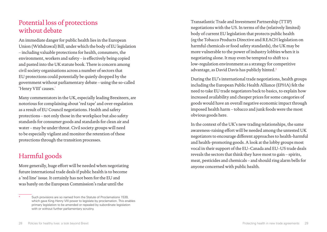### Potential loss of protections without debate

An immediate danger for public health lies in the European Union (Withdrawal) Bill, under which the body of EU legislation – including valuable protections for health, consumers, the environment, workers and safety – is effectively being copied and pasted into the UK statute book. There is concern among civil society organisations across a number of sectors that EU protections could potentially be quietly dropped by the government without parliamentary debate – using the so-called 'Henry VIII' causes.<sup>\*</sup>

Many commentators in the UK, especially leading Brexiteers, are notorious for complaining about 'red tape' and over-regulation as a result of EU Council negotiations. Health and safety protections – not only those in the workplace but also safety standards for consumer goods and standards for clean air and water – may be under threat. Civil society groups will need to be especially vigilant and monitor the retention of these protections through the transition processes.

### Harmful goods

More generally, huge effort will be needed when negotiating future international trade deals if public health is to become a 'red line' issue. It certainly has not been for the EU and was barely on the European Commission's radar until the

Transatlantic Trade and Investment Partnership (TTIP) negotiations with the US. In terms of the (relatively limited) body of current EU legislation that protects public health (eg the Tobacco Products Directive and REACH legislation on harmful chemicals or food safety standards), the UK may be more vulnerable to the power of industry lobbies when it is negotiating alone. It may even be tempted to shift to a low-regulation environment as a strategy for competitive advantage, as David Davis has publicly hinted.[3](#page-26-13)

During the EU's international trade negotiations, health groups including the European Public Health Alliance (EPHA) felt the need to take EU trade negotiators back to basics, to explain how increased availability and cheaper prices for some categories of goods would have an overall negative economic impact through imposed health harm – tobacco and junk foods were the most obvious goods here.

In the context of the UK's new trading relationships, the same awareness-raising effort will be needed among the untested UK negotiators to encourage different approaches to health-harmful and health-promoting goods. A look at the lobby groups most vocal in their support of the EU–Canada and EU–US trade deals reveals the sectors that think they have most to gain – spirits, meat, pesticides and chemicals – and should ring alarm bells for anyone concerned with public health.

Such provisions are so named from the Statute of Proclamations 1539, which gave King Henry VIII power to legislate by proclamation. This enables primary legislation to be amended or repealed by subordinate legislation with or without further parliamentary scrutiny.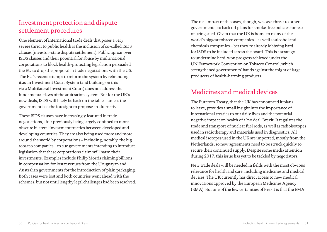### Investment protection and dispute settlement procedures

One element of international trade deals that poses a very severe threat to public health is the inclusion of so-called ISDS clauses (investor–state dispute settlement). Public uproar over ISDS clauses and their potential for abuse by multinational corporations to block health-protecting legislation persuaded the EU to drop the proposal in trade negotiations with the US. The EU's recent attempt to reform the system by rebranding it as an Investment Court System (and building on this via a Multilateral Investment Court) does not address the fundamental flaws of the arbitration system. But for the UK's new deals, ISDS will likely be back on the table – unless the government has the foresight to propose an alternative.

These ISDS clauses have increasingly featured in trade negotiations, after previously being largely confined to more obscure bilateral investment treaties between developed and developing countries. They are also being used more and more around the world by corporations – including, notably, the big tobacco companies – to sue governments intending to introduce legislation that these corporations claim will harm their investments. Examples include Philip Morris claiming billions in compensation for lost revenues from the Uruguayan and Australian governments for the introduction of plain packaging. Both cases were lost and both countries went ahead with the schemes, but not until lengthy legal challenges had been resolved. The real impact of the cases, though, was as a threat to other governments, to back off plans for smoke-free policies for fear of being sued. Given that the UK is home to many of the world's biggest tobacco companies – as well as alcohol and chemicals companies – bet they're already lobbying hard for ISDS to be included across the board. This is a strategy to undermine hard-won progress achieved under the UN Framework Convention on Tobacco Control, which strengthened governments' hands against the might of large producers of health-harming products.

### Medicines and medical devices

The Euratom Treaty, that the UK has announced it plans to leave, provides a small insight into the importance of international treaties to our daily lives and the potential negative impact on health of a 'no deal' Brexit. It regulates the trade and transport of nuclear fuel rods, as well as radioisotopes used in radiotherapy and materials used in diagnostics. All medical isotopes used in the UK are imported, mostly from the Netherlands, so new agreements need to be struck quickly to secure their continued supply. Despite some media attention during 2017, this issue has yet to be tackled by negotiators.

New trade deals will be needed in fields with the most obvious relevance for health and care, including medicines and medical devices. The UK currently has direct access to new medical innovations approved by the European Medicines Agency (EMA). But one of the few certainties of Brexit is that the EMA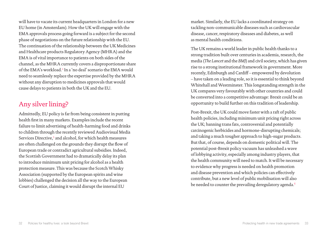will have to vacate its current headquarters in London for a new EU home (in Amsterdam). How the UK will engage with the EMA approvals process going forward is a subject for the second phase of negotiations on the future relationship with the EU. The continuation of the relationship between the UK Medicines and Healthcare products Regulatory Agency (MHRA) and the EMA is of vital importance to patients on both sides of the channel, as the MHRA currently covers a disproportionate share of the EMA's workload.[4](#page-26-15) In a 'no deal' scenario the EMA would need to seamlessly replace the expertise provided by the MHRA without any disruption to medicines approvals that would cause delays to patients in both the UK and the EU.

### Any silver lining?

Admittedly, EU policy is far from being consistent in putting health first in many markets. Examples include the recent failure to limit advertising of health-harming food and drinks to children through the recently reviewed Audiovisual Media Services Directive,[5](#page-26-16) and alcohol, for which health measures are often challenged on the grounds they disrupt the flow of European trade or contradict agricultural subsidies. Indeed, the Scottish Government had to dramatically delay its plan to introduce minimum unit pricing for alcohol as a health protection measure. This was because the Scotch Whisky Association (supported by the European spirits and wine lobbies) challenged the decision all the way to the European Court of Justice, claiming it would disrupt the internal EU

market. Similarly, the EU lacks a coordinated strategy on tackling non-communicable diseases such as cardiovascular disease, cancer, respiratory diseases and diabetes, as well as mental health conditions.

The UK remains a world leader in public health thanks to a strong tradition built over centuries in academia, research, the media (*The Lancet* and the *BMJ*) and civil society, which has given rise to a strong institutional framework in government. More recently, Edinburgh and Cardiff – empowered by devolution – have taken on a leading role, so it is essential to think beyond Whitehall and Westminster. This longstanding strength in the UK compares very favourably with other countries and could be converted into a competitive advantage: Brexit could be an opportunity to build further on this tradition of leadership.

Post-Brexit, the UK could move faster with a raft of public health policies, including minimum unit pricing right across the UK; banning trans fats, controversial and potentially carcinogenic herbicides and hormone-disrupting chemicals; and taking a much tougher approach to high-sugar products. But that, of course, depends on domestic political will. The potential post-Brexit policy vacuum has unleashed a wave of lobbying activity, especially among industry players, that the health community will need to match. It will be necessary to evidence why progress is needed on health promotion and disease prevention and which policies can effectively contribute, but a new level of public mobilisation will also be needed to counter the prevailing deregulatory agenda.<sup>[6](#page-26-14)</sup>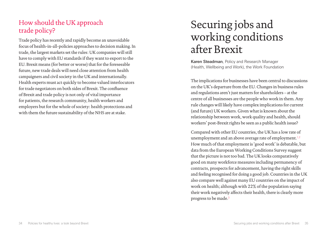## <span id="page-18-0"></span>How should the UK approach trade policy?

Trade policy has recently and rapidly become an unavoidable focus of health-in-all-policies approaches to decision making. In trade, the largest markets set the rules: UK companies will still have to comply with EU standards if they want to export to the EU. Brexit means (for better or worse) that for the foreseeable future, new trade deals will need close attention from health campaigners and civil society in the UK and internationally. Health experts must act quickly to become valued interlocutors for trade negotiators on both sides of Brexit. The confluence of Brexit and trade policy is not only of vital importance for patients, the research community, health workers and employers but for the whole of society: health protections and with them the future sustainability of the NHS are at stake.

# Securing jobs and working conditions after Brexit

Karen Steadman, Policy and Research Manager (Health, Wellbeing and Work), the Work Foundation

The implications for businesses have been central to discussions on the UK's departure from the EU. Changes in business rules and regulations aren't just matters for shareholders – at the centre of all businesses are the people who work in them. Any rule changes will likely have complex implications for current (and future) UK workers. Given what is known about the relationship between work, work quality and health, should workers' post-Brexit rights be seen as a public health issue?

Compared with other EU countries, the UK has a low rate of unemployment and an above average rate of employment.<sup>[1](#page-26-17),[2](#page-26-18)</sup> How much of that employment is 'good work' is debatable, but data from the European Working Conditions Survey suggest that the picture is not too bad. The UK looks comparatively good on many workforce measures including permanency of contracts, prospects for advancement, having the right skills and feeling recognised for doing a good job. Countries in the UK also compare well against many EU countries on the impact of work on health; although with 22% of the population saying their work negatively affects their health, there is clearly more progress to be made.[3](#page-26-19)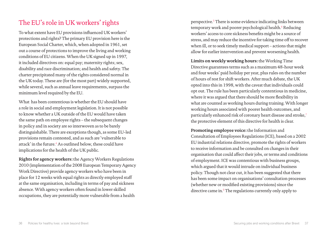### The EU's role in UK workers' rights

To what extent have EU provisions influenced UK workers' protections and rights? The primary EU provision here is the European Social Charter, which, when adopted in 1961, set out a course of protections to improve the living and working conditions of EU citizens. When the UK signed up in 1997, it included directives on: equal pay; maternity rights; sex, disability and race discrimination; and health and safety. The charter precipitated many of the rights considered normal in the UK today. These are (for the most part) widely supported, while several, such as annual leave requirements, surpass the minimum level required by the EU.

What has been contentious is whether the EU should have a role in social and employment legislation. It is not possible to know whether a UK outside of the EU would have taken the same path on employee rights – the subsequent changes in policy and in society are so interwoven as to be barely distinguishable. There are exceptions though, as some EU-led provisions remain contested, and as such are 'vulnerable to attack' in the future.[4](#page-26-20) As outlined below, these could have implications for the health of the UK public.

**Rights for agency workers:** the Agency Workers Regulations 2010 (implementation of the 2008 European Temporary Agency Work Directive) provide agency workers who have been in place for 12 weeks with equal rights as directly employed staff at the same organisation, including in terms of pay and sickness absence. With agency workers often found in lower skilled occupations, they are potentially more vulnerable from a health

perspective.<sup>[5](#page-27-0)</sup> There is some evidence indicating links between temporary work and poorer psychological health.<sup>[6](#page-27-1)</sup> Reducing workers' access to core sickness benefits might be a source of stress, and may reduce the incentive for taking time off to recover when ill, or to seek timely medical support – actions that might allow for earlier intervention and prevent worsening health.

**Limits on weekly working hours:** the Working Time Directive guarantees terms such as a maximum 48-hour week and four weeks' paid holiday per year, plus rules on the number of hours of rest for shift workers. After much debate, the UK opted into this in 1998, with the caveat that individuals could opt out. The rule has been particularly contentious in medicine, where it was argued that there should be more flexibility in what are counted as working hours during training. With longer working hours associated with poorer health outcomes, and particularly enhanced risk of coronary heart disease and stroke,[7](#page-27-2) the protective element of this directive for health is clear.

**Promoting employee voice:** the Information and Consultation of Employees Regulations (ICE), based on a 2002 EU industrial relations directive, promote the rights of workers to receive information and be consulted on changes in their organisation that could affect their jobs, or terms and conditions of employment. ICE was contentious with business groups, which argued that it would intrude on individual business policy. Though not clear cut, it has been suggested that there has been some impact on organisations' consultation processes (whether new or modified existing provisions) since the directive came in.[8](#page-27-3) The regulations currently only apply to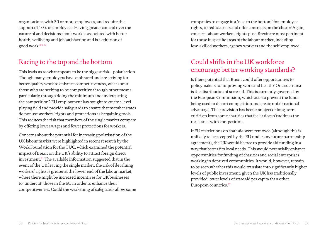organisations with 50 or more employees, and require the support of 10% of employees. Having greater control over the nature of and decisions about work is associated with better health, wellbeing and job satisfaction and is a criterion of good work.[8](#page-27-3),[9](#page-27-5)[,10](#page-27-6)

### Racing to the top and the bottom

This leads us to what appears to be the biggest risk – polarisation. Though many employers have embraced and are striving for better quality work to enhance competitiveness, what about those who are seeking to be competitive through other means, particularly through doing the minimum and undercutting the competition? EU employment law sought to create a level playing field and provide safeguards to ensure that member states do not use workers' rights and protections as bargaining tools. This reduces the risk that members of the single market compete by offering lower wages and fewer protections for workers.

Concerns about the potential for increasing polarisation of the UK labour market were highlighted in recent research by the Work Foundation for the TUC, which examined the potential impact of Brexit on the UK's ability to attract foreign direct investment.<sup>[11](#page-27-7)</sup> The available information suggested that in the event of the UK leaving the single market, the risk of devaluing workers' rights is greater at the lower end of the labour market, where there might be increased incentives for UK businesses to 'undercut' those in the EU in order to enhance their competitiveness. Could the weakening of safeguards allow some companies to engage in a 'race to the bottom' for employee rights, to reduce costs and offer contracts on the cheap? Again, concerns about workers' rights post-Brexit are most pertinent for those in specific areas of the labour market, including low-skilled workers, agency workers and the self-employed.

### Could shifts in the UK workforce encourage better working standards?

Is there potential that Brexit could offer opportunities to policymakers for improving work and health? One such area is the distribution of state aid. This is currently governed by the European Commission, which acts to prevent the funds being used to distort competition and create unfair national advantage. This provision has been a subject of long-term criticism from some charities that feel it doesn't address the real issues with competition.

If EU restrictions on state aid were removed (although this is unlikely to be accepted by the EU under any future partnership agreement), the UK would be free to provide aid funding in a way that better fits local needs. This would potentially enhance opportunities for funding of charities and social enterprises working in deprived communities. It would, however, remain to be seen whether this would translate into significantly higher levels of public investment, given the UK has traditionally provided lower levels of state aid per capita than other European countries.<sup>[12](#page-27-4)</sup>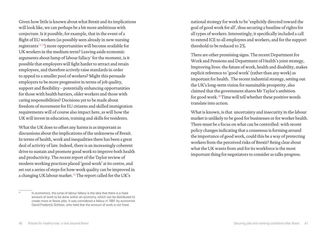Given how little is known about what Brexit and its implications will look like, we can perhaps be a bit more ambitious with conjecture. Is it possible, for example, that in the event of a flight of EU workers (as possibly seen already in new nursing registrants<sup>[13](#page-27-9)[,14](#page-27-10)</sup>) more opportunities will become available for UK workers in the medium term? Leaving aside economic arguments about lump of labour fallacy\* for the moment, is it possible that employers will fight harder to attract and retain employees, and therefore actively raise standards in order to appeal to a smaller pool of workers? Might this persuade employers to be more progressive in terms of job quality, support and flexibility – potentially enhancing opportunities for those with health barriers, older workers and those with caring responsibilities? Decisions yet to be made about freedom of movement for EU citizens and skilled immigration requirements will of course also impact here, as will how the UK will invest in education, training and skills for residents.

What the UK does to offset any harms is as important as discussions about the implications of the unknowns of Brexit. In terms of health, work and inequalities there has been a great deal of activity of late. Indeed, there is an increasingly coherent drive to sustain and promote good work to improve both health and productivity. The recent report of the Taylor review of modern working practices placed 'good work' at its centre, and set out a series of steps for how work quality can be improved in a changing UK labour market.<sup>[15](#page-27-11)</sup> The report called for the UK's

national strategy for work to be 'explicitly directed toward the goal of good work for all', thus securing a baseline of rights for all types of workers. Interestingly, it specifically included a call to extend ICE to all employees and workers, and for the support threshold to be reduced to 2%.

There are other promising signs. The recent Department for Work and Pensions and Department of Health's joint strategy, Improving lives: the future of work, health and disability, makes explicit reference to 'good work' (rather than any work) as important for health. The recent industrial strategy, setting out the UK's long-term vision for sustainable prosperity, also claimed that the government shares Mr Taylor's ambition for good work.<sup>[16](#page-27-8)</sup> Time will tell whether these positive words translate into action.

What is known, is that uncertainty and insecurity in the labour market is unlikely to be good for businesses or for worker health. There must be a focus on what can be controlled: with recent policy changes indicating that a consensus is forming around the importance of good work, could this be a way of protecting workers from the perceived risks of Brexit? Being clear about what the UK wants from and for its workforce is the most important thing for negotiators to consider as talks progress.

In economics, the lump of labour fallacy is the idea that there is a fixed amount of work to be done within an economy, which can be distributed to create more or fewer jobs. It was considered a fallacy in 1891 by economist David Frederick Schloss, who held that the amount of work is not fixed.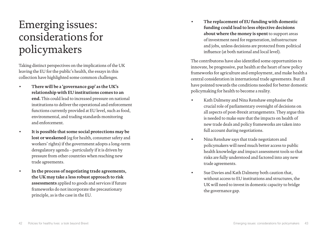## <span id="page-22-0"></span>Emerging issues: considerations for policymakers

Taking distinct perspectives on the implications of the UK leaving the EU for the public's health, the essays in this collection have highlighted some common challenges.

- **There will be a 'governance gap' as the UK's relationship with EU institutions comes to an end.** This could lead to increased pressure on national institutions to deliver the operational and enforcement functions currently provided at EU level, such as food, environmental, and trading standards monitoring and enforcement.
- **It is possible that some social protections may be lost or weakened** (eg for health, consumer safety and workers' rights) if the government adopts a long-term deregulatory agenda – particularly if it is driven by pressure from other countries when reaching new trade agreements.
- **In the process of negotiating trade agreements, the UK may take a less robust approach to risk assessments** applied to goods and services if future frameworks do not incorporate the precautionary principle, as is the case in the EU.

• **The replacement of EU funding with domestic funding could lead to less objective decisions about where the money is spent** to support areas of investment need for regeneration, infrastructure and jobs, unless decisions are protected from political influence (at both national and local level).

The contributorss have also identified some opportunities to innovate, be progressive, put health at the heart of new policy frameworks for agriculture and employment, and make health a central consideration in international trade agreements. But all have pointed towards the conditions needed for better domestic policymaking for health to become a reality.

- Kath Dalmeny and Nina Renshaw emphasise the crucial role of parliamentary oversight of decisions on all aspects of post-Brexit arrangements. They argue this is needed to make sure that the impacts on health of new trade deals and policy frameworks are taken into full account during negotiations.
- Nina Renshaw says that trade negotiators and policymakers will need much better access to public health knowledge and impact assessment tools so that risks are fully understood and factored into any new trade agreements.
- Sue Davies and Kath Dalmeny both caution that, without access to EU institutions and structures, the UK will need to invest in domestic capacity to bridge the governance gap.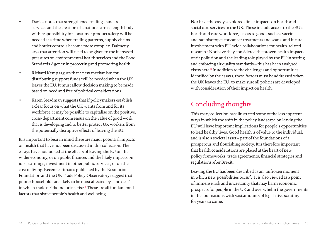- Davies notes that strengthened trading standards services and the creation of a national arms' length body with responsibility for consumer product safety will be needed at a time when trading patterns, supply chains and border controls become more complex. Dalmeny says that attention will need to be given to the increased pressures on environmental health services and the Food Standards Agency in protecting and promoting health.
- Richard Kemp argues that a new mechanism for distributing support funds will be needed when the UK leaves the EU. It must allow decision making to be made based on need and free of political considerations.
- Karen Steadman suggests that if policymakers establish a clear focus on what the UK wants from and for its workforce, it may be possible to capitalise on the positive, cross-department consensus on the value of good work that is developing and to better protect UK workers from the potentially disruptive effects of leaving the EU.

It is important to bear in mind there are major potential impacts on health that have not been discussed in this collection. The essays have not looked at the effects of leaving the EU on the wider economy, or on public finances and the likely impacts on jobs, earnings, investment in other public services, or on the cost of living. Recent estimates published by the Resolution Foundation and the UK Trade Policy Observatory suggest that poorer households are likely to be most affected by a 'no deal' in which trade tariffs and prices rise.<sup>[1](#page-27-15)</sup> These are all fundamental factors that shape people's health and wellbeing.

Nor have the essays explored direct impacts on health and social care services in the UK. These include access to the EU's health and care workforce, access to goods such as vaccines and radioisotopes for cancer treatments and scans, and future involvement with EU-wide collaborations for health-related research.[2](#page-27-12) Nor have they considered the proven health impacts of air pollution and the leading role played by the EU in setting and enforcing air quality standards – this has been analysed elsewhere.[3](#page-27-13) In addition to the challenges and opportunities identified by the essays, these factors must be addressed when the UK leaves the EU, to make sure all policies are developed with consideration of their impact on health.

### Concluding thoughts

This essay collection has illustrated some of the less apparent ways in which the shift in the policy landscape on leaving the EU will have important implications for people's opportunities to lead healthy lives. Good health is of value to the individual, and is also a societal asset – part of the foundations of a prosperous and flourishing society. It is therefore important that health considerations are placed at the heart of new policy frameworks, trade agreements, financial strategies and regulations after Brexit.

Leaving the EU has been described as an 'unfrozen moment in which new possibilities occur'.[4](#page-27-14) It is also viewed as a point of immense risk and uncertainty that may harm economic prospects for people in the UK and overwhelm the governments in the four nations with vast amounts of legislative scrutiny for years to come.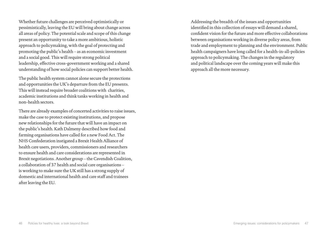Whether future challenges are perceived optimistically or pessimistically, leaving the EU will bring about change across all areas of policy. The potential scale and scope of this change present an opportunity to take a more ambitious, holistic approach to policymaking, with the goal of protecting and promoting the public's health – as an economic investment and a social good. This will require strong political leadership, effective cross-government working and a shared understanding of how social policies can support better health.

The public health system cannot alone secure the protections and opportunities the UK's departure from the EU presents. This will instead require broader coalitions with charities, academic institutions and think tanks working in health and non-health sectors.

There are already examples of concerted activities to raise issues, make the case to protect existing institutions, and propose new relationships for the future that will have an impact on the public's health. Kath Dalmeny described how food and farming organisations have called for a new Food Act. The NHS Confederation instigated a Brexit Health Alliance of health care users, providers, commissioners and researchers to ensure health and care considerations are represented in Brexit negotiations. Another group – the Cavendish Coalition, a collaboration of 37 health and social care organisations – is working to make sure the UK still has a strong supply of domestic and international health and care staff and trainees after leaving the EU.

Addressing the breadth of the issues and opportunities identified in this collection of essays will demand a shared, confident vision for the future and more effective collaborations between organisations working in diverse policy areas, from trade and employment to planning and the environment. Public health campaigners have long called for a health-in-all-policies approach to policymaking. The changes in the regulatory and political landscape over the coming years will make this approach all the more necessary.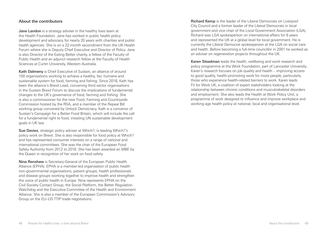### <span id="page-25-0"></span>About the contributors

**Jane Landon** is a strategy adviser in the healthy lives team at the Health Foundation. Jane has worked in public health policy development and advocacy for nearly 20 years with charities and public health agencies. She is on a 22-month secondment from the UK Health Forum where she is Deputy Chief Executive and Director of Policy. Jane is also Director of the Eating Better charity, a fellow of the Faculty of Public Health and an adjunct research fellow at the Faculty of Health Sciences at Curtin University, Western Australia.

Kath Dalmeny is Chief Executive of Sustain, an alliance of around 100 organisations working to achieve a healthy, fair, humane and sustainable system for food, farming and fishing. Since 2016, Kath has been the alliance's Brexit Lead, convening third sector organisations in the Sustain Brexit Forum to discuss the implications of fundamental changes to the UK's governance of food, farming and fishing. She is also a commissioner for the new Food, Farming and Countryside Commission hosted by the RSA, and a member of the Repeal Bill working group convened by Unlock Democracy. Kath is a convenor of Sustain's Campaign for a Better Food Britain, which will include the call for a fundamental right to food, instating UN sustainable development goals in UK law.

Sue Davies, strategic policy adviser at Which?, is leading Which?'s policy work on Brexit. She is also responsible for food policy at Which? and has represented consumer interests on a range of national and international committees. She was the chair of the European Food Safety Authority from 2012 to 2016. She has been awarded an MBE by the Queen in recognition of her work on food safety.

Nina Renshaw is Secretary-General of the European Public Health Alliance (EPHA). EPHA is a member-led organisation of public health non-governmental organisations, patient groups, health professionals and disease groups working together to improve health and strengthen the voice of public health in Europe. Nina represents EPHA on the Civil Society Contact Group, the Social Platform, the Better Regulation Watchdog and the Executive Committee of the Health and Environment Alliance. She is also a member of the European Commission's Advisory Group on the EU–US TTIP trade negotiations.

Richard Kemp is the leader of the Liberal Democrats on Liverpool City Council and a former leader of the Liberal Democrats in local government and vice chair of the Local Government Association (LGA). Richard was LGA spokesperson on international affairs for 9 years and represented the UK at a global level for local government. He is currently the Liberal Democrat spokesperson at the LGA on social care and health. Before becoming a full-time councillor in 2001 he worked as an adviser on regeneration projects throughout the UK.

Karen Steadman leads the health, wellbeing and work research and policy programme at the Work Foundation, part of Lancaster University. Karen's research focuses on job quality and health – improving access to good quality, health-promoting work for more people, particularly those who experience health-related barriers to work. Karen leads Fit for Work UK, a coalition of expert stakeholders looking at the relationship between chronic conditions and musculoskeletal disorders and employment. She also leads the Health at Work Policy Unit, a programme of work designed to influence and improve workplace and working age health policy at national, local and organisational level.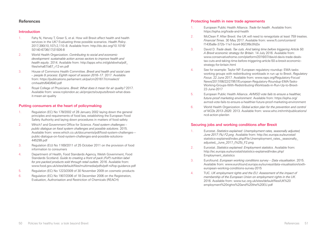#### <span id="page-26-0"></span>References

#### Introduction

- <span id="page-26-1"></span>1. Fahy N, Hervey T, Greer S, et al. How will Brexit affect health and health services in the UK? Evaluating three possible scenarios. *Health Policy*. 2017;390(10,107):2,110–8. Available from: [http://dx.doi.org/10.1016/](http://dx.doi.org/10.1016/S0140-6736(17)31926-8) [S0140-6736\(17\)31926-8](http://dx.doi.org/10.1016/S0140-6736(17)31926-8)
- <span id="page-26-2"></span>2. World Health Organization. *Contributing to social and economic development: sustainable action across sectors to improve health and health equity*. 2014. Available from: [http://apps.who.int/gb/ebwha/pdf\\_](http://apps.who.int/gb/ebwha/pdf_files/wha67/a67_r12-en.pdf) [files/wha67/a67\\_r12-en.pdf](http://apps.who.int/gb/ebwha/pdf_files/wha67/a67_r12-en.pdf)
- <span id="page-26-3"></span>3. House of Commons Health Committee. *Brexit and health and social care – people & process: Eighth report of session 2016–17*. 2017. Available from: [https://publications.parliament.uk/pa/cm201617/cmselect/](http://publications.parliament.uk/pa/cm201617/cmselect/cmhealth/640/640.pdf) [cmhealth/640/640.pdf](http://publications.parliament.uk/pa/cm201617/cmselect/cmhealth/640/640.pdf)
- <span id="page-26-4"></span>4. Royal College of Physicians. *Brexit: What does it mean for air quality?* 2017. Available from: [www.rcplondon.ac.uk/projects/outputs/brexit-what-does](http://www.rcplondon.ac.uk/projects/outputs/brexit-what-does-it-mean-air-quality)[it-mean-air-quality](http://www.rcplondon.ac.uk/projects/outputs/brexit-what-does-it-mean-air-quality)

#### Putting consumers at the heart of policymaking

- <span id="page-26-5"></span>1. Regulation (EC) No 178/2002 of 28 January 2002 laying down the general principles and requirements of food law, establishing the European Food Safety Authority and laying down procedures in matters of food safety
- <span id="page-26-6"></span>2. Which? and Government Office for Science. *Food system challenges – public dialogue on food system challenges and possible solutions*. 2015. Available from: [www.which.co.uk/documents/pdf/food-system-challenges--](https://www.which.co.uk/documents/pdf/food-system-challenges---public-dialogue-on-food-system-challenges-and-possible-solutions-445299.pdf) [public-dialogue-on-food-system-challenges-and-possible-solutions-](https://www.which.co.uk/documents/pdf/food-system-challenges---public-dialogue-on-food-system-challenges-and-possible-solutions-445299.pdf)[445299.pdf](https://www.which.co.uk/documents/pdf/food-system-challenges---public-dialogue-on-food-system-challenges-and-possible-solutions-445299.pdf)
- <span id="page-26-9"></span>3. Regulation (EU) No 1169/2011 of 25 October 2011 on the provision of food information to consumers
- <span id="page-26-10"></span>4. Department of Health, Food Standards Agency, Welsh Government, Food Standards Scotland. *Guide to creating a front of pack (FoP) nutrition label for pre-packed products sold through retail outlets*. 2016. Available from: [www.food.gov.uk/sites/default/files/multimedia/pdfs/pdf-ni/fop-guidance.pdf](https://www.food.gov.uk/sites/default/files/multimedia/pdfs/pdf-ni/fop-guidance.pdf)
- <span id="page-26-7"></span>5. Regulation (EC) No 1223/2009 of 30 November 2009 on cosmetic products
- <span id="page-26-8"></span>6. Regulation (EC) No 1907/2006 of 18 December 2006 on the Registration, Evaluation, Authorisation and Restriction of Chemicals (REACH)

#### Protecting health in new trade agreements

- <span id="page-26-11"></span>1. European Public Health Alliance. *Trade for health*. Available from: [https://epha.org/trade-and-health](http://epha.org/trade-and-health)
- <span id="page-26-12"></span>2. McClean P. After Brexit: the UK will need to renegotiate at least 759 treaties. *Financial Times*. 30 May 2017. Available from[: www.ft.com/content/](http://www.ft.com/content/f1435a8e-372b-11e7-bce4-9023f8c0fd2e) [f1435a8e-372b-11e7-bce4-9023f8c0fd2e](http://www.ft.com/content/f1435a8e-372b-11e7-bce4-9023f8c0fd2e)
- <span id="page-26-13"></span>3. David D. *Trade deals. Tax cuts. And taking time before triggering Article 50. A Brexit economic strategy for Britain*. 14 July 2016. Available from: [www.conservativehome.com/platform/2016/07/david-davis-trade-deals](https://www.conservativehome.com/platform/2016/07/david-davis-trade-deals-tax-cuts-and-taking-time-before-triggering-article-50-a-brexit-economic-strategy-for-britain.html)[tax-cuts-and-taking-time-before-triggering-article-50-a-brexit-economic](https://www.conservativehome.com/platform/2016/07/david-davis-trade-deals-tax-cuts-and-taking-time-before-triggering-article-50-a-brexit-economic-strategy-for-britain.html)[strategy-for-britain.html](https://www.conservativehome.com/platform/2016/07/david-davis-trade-deals-tax-cuts-and-taking-time-before-triggering-article-50-a-brexit-economic-strategy-for-britain.html)
- <span id="page-26-15"></span>4. See for example: Taylor NP. European regulatory roundup: EMA tasks working groups with redistributing workloads in run up to Brexit. *Regulatory Focus*. 22 June 2017. Available from: [www.raps.org/Regulatory-Focus/](http://apps.who.int/gb/ebwha/pdf_ files/wha67/a67_r12-en.pdf ) [News/2017/06/22/27957/European-Regulatory-Roundup-EMA-Tasks-](http://apps.who.int/gb/ebwha/pdf_ files/wha67/a67_r12-en.pdf )[Working-Groups-With-Redistributing-Workloads-in-Run-Up-to-Brexit-](http://apps.who.int/gb/ebwha/pdf_ files/wha67/a67_r12-en.pdf )[22-June-2017](http://apps.who.int/gb/ebwha/pdf_ files/wha67/a67_r12-en.pdf )
- <span id="page-26-16"></span>5. European Public Health Alliance. *AVMSD vote fails to ensure a healthier, future-proof marketing environment*. Available from: [https://epha.org/](https://epha.org/avmsd-vote-fails-to-ensure-a-healthier-future-proof-marketing-environment) [avmsd-vote-fails-to-ensure-a-healthier-future-proof-marketing-environment](https://epha.org/avmsd-vote-fails-to-ensure-a-healthier-future-proof-marketing-environment)
- <span id="page-26-14"></span>6. World Health Organization. *Global action plan for the prevention and control of NCDs 2013–2020*. 2013. Available from: [www.who.int/nmh/publications/](http://www.who.int/nmh/publications/ncd-action-plan/en) [ncd-action-plan/en](http://www.who.int/nmh/publications/ncd-action-plan/en)

#### Securing jobs and working conditions after Brexit

- <span id="page-26-17"></span>1. Eurostat. *Statistics explained: Unemployment rates, seasonally adjusted, June 2017 (%) F2.png*. Available from: [http://ec.europa.eu/eurostat/](http://ec.europa.eu/eurostat/statistics-explained/index.php/File:Unemployment_rates,_seasonally_adjusted,_June_2017_(%25)_F2.png) statistics-explained/index.php/File:Unemployment\_rates,\_seasonally adjusted, June 2017 (%25) F2.png
- <span id="page-26-18"></span>2. Eurostat. *Statistics explained: Employment statistics*. Available from: [http://ec.europa.eu/eurostat/statistics-explained/index.php/](http://ec.europa.eu/eurostat/statistics-explained/index.php/Employment_statistics) [Employment\\_statistics](http://ec.europa.eu/eurostat/statistics-explained/index.php/Employment_statistics)
- <span id="page-26-19"></span>3. Eurofound. *European working conditions survey – Data visualisation*. 2015. Available from: [www.eurofound.europa.eu/surveys/data-visualisation/sixth](http://www.eurofound.europa.eu/surveys/data-visualisation/sixth-european-working-conditions-survey-2015)[european-working-conditions-survey-2015](http://www.eurofound.europa.eu/surveys/data-visualisation/sixth-european-working-conditions-survey-2015)
- <span id="page-26-20"></span>4. TUC. *UK employment rights and the EU: Assessment of the impact of membership of the European Union on employment rights in the UK*. 2016. Available from: [www.tuc.org.uk/sites/default/files/UK%20](http://www.tuc.org.uk/sites/default/files/UK%20employment%20rights%20and%20the%20EU.pdf) [employment%20rights%20and%20the%20EU.pdf](http://www.tuc.org.uk/sites/default/files/UK%20employment%20rights%20and%20the%20EU.pdf)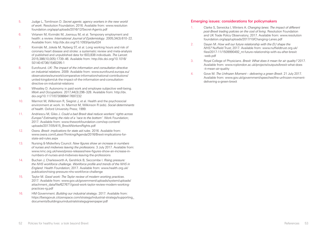- <span id="page-27-0"></span>5. Judge L, Tomlinson D. *Secret agents: agency workers in the new world of work*. Resolution Foundation; 2016. Available from: [www.resolution](http://www.resolutionfoundation.org/app/uploads/2016/12/Secret-Agents.pdf) [foundation.org/app/uploads/2016/12/Secret-Agents.pdf](http://www.resolutionfoundation.org/app/uploads/2016/12/Secret-Agents.pdf)
- <span id="page-27-1"></span>6. Virtanen M, Kivimäki M, Joensuu M, et al. Temporary employment and health: a review. *International Journal of Epidemiology*. 2005;34(3):610–22. Available from: <http://dx.doi.org/10.1093/ije/dyi024>
- <span id="page-27-2"></span>7. Kivimäki M, Jokela M, Nyberg ST, et al. Long working hours and risk of coronary heart disease and stroke: a systematic review and meta-analysis of published and unpublished data for 603,838 individuals. *The Lancet*. 2015;386(10,005):1739–46. Available from: [http://dx.doi.org/10.1016/](http://dx.doi.org/10.1016/S0140-6736(15)60295-1) [S0140-6736\(15\)60295-1](http://dx.doi.org/10.1016/S0140-6736(15)60295-1)
- <span id="page-27-3"></span>8. Eurofound. *UK: The impact of the information and consultation directive on industrial relations*. 2009. Available from: [www.eurofound.europa.eu/](http://www.eurofound.europa.eu/observatories/eurwork/comparative-information/national-contributions/united-kingdom/uk-the-impact-of-the-information-and-consultation-directive-on-industrial-relations) [observatories/eurwork/comparative-information/national-contributions/](http://www.eurofound.europa.eu/observatories/eurwork/comparative-information/national-contributions/united-kingdom/uk-the-impact-of-the-information-and-consultation-directive-on-industrial-relations) [united-kingdom/uk-the-impact-of-the-information-and-consultation](http://www.eurofound.europa.eu/observatories/eurwork/comparative-information/national-contributions/united-kingdom/uk-the-impact-of-the-information-and-consultation-directive-on-industrial-relations)[directive-on-industrial-relations](http://www.eurofound.europa.eu/observatories/eurwork/comparative-information/national-contributions/united-kingdom/uk-the-impact-of-the-information-and-consultation-directive-on-industrial-relations)
- <span id="page-27-5"></span>9. Wheatley D. Autonomy in paid work and employee subjective well-being. *Work and Occupations*. 2017;44(3):296–328. Available from: [http://dx.](http://dx.doi.org/10.1177/0730888417697232) [doi.org/10.1177/0730888417697232](http://dx.doi.org/10.1177/0730888417697232)
- <span id="page-27-6"></span>10. Marmot M, Wilkinson R, Siegrist J, et al. Health and the psychosocial environment at work. In: Marmot M, Wilkinson R (eds). *Social determinants of health*. Oxford University Press; 1999.
- <span id="page-27-7"></span>11. Andriescu M, Giles J. *Could a bad Brexit deal reduce workers' rights across Europe? Estimating the risks of a 'race to the bottom'*. Work Foundation; 2017. Available from: [www.theworkfoundation.com/wp-content/](http://www.theworkfoundation.com/wp-content/uploads/2017/05/415_BrexitWorkersRights.pdf) [uploads/2017/05/415\\_BrexitWorkersRights.pdf](http://www.theworkfoundation.com/wp-content/uploads/2017/05/415_BrexitWorkersRights.pdf)
- <span id="page-27-4"></span>12. Oxera. *Brexit: implications for state aid rules*. 2016. Available from: [www.oxera.com/Latest-Thinking/Agenda/2016/Brexit-implications-for](http://www.oxera.com/Latest-Thinking/Agenda/2016/Brexit-implications-for-state-aid-rules.aspx)[state-aid-rules.aspx](http://www.oxera.com/Latest-Thinking/Agenda/2016/Brexit-implications-for-state-aid-rules.aspx)
- <span id="page-27-9"></span>13. Nursing & Midwifery Council. *New figures show an increase in numbers of nurses and midwives leaving the professions*. 3 July 2017. Available from: [www.nmc.org.uk/news/press-releases/new-figures-show-an-increase-in](http://www.nmc.org.uk/news/press-releases/new-figures-show-an-increase-in-numbers-of-nurses-and-midwives-leaving-the-professions)[numbers-of-nurses-and-midwives-leaving-the-professions](http://www.nmc.org.uk/news/press-releases/new-figures-show-an-increase-in-numbers-of-nurses-and-midwives-leaving-the-professions)
- <span id="page-27-10"></span>14. Buchan J, Charlesworth A, Gershlick B, Seccombe I. *Rising pressure: the NHS workforce challenge. Workforce profile and trends of the NHS in England*. Health Foundation; 2017. Available from: [www.health.org.uk/](http://www.health.org.uk/publication/rising-pressure-nhs-workforce-challenge) [publication/rising-pressure-nhs-workforce-challenge](http://www.health.org.uk/publication/rising-pressure-nhs-workforce-challenge)
- <span id="page-27-11"></span>15. Taylor M. *Good work: The Taylor review of modern working practices*. 2017. Available from: [www.gov.uk/government/uploads/system/uploads/](http://www.gov.uk/government/uploads/system/uploads/attachment_data/file/627671/good-work-taylor-review-modern-working-practices-rg.pdf) [attachment\\_data/file/627671/good-work-taylor-review-modern-working](http://www.gov.uk/government/uploads/system/uploads/attachment_data/file/627671/good-work-taylor-review-modern-working-practices-rg.pdf)[practices-rg.pdf](http://www.gov.uk/government/uploads/system/uploads/attachment_data/file/627671/good-work-taylor-review-modern-working-practices-rg.pdf)
- <span id="page-27-8"></span>16. HM Government. *Building our industrial strategy*. 2017. Available from: [https://beisgovuk.citizenspace.com/strategy/industrial-strategy/supporting\\_](https://beisgovuk.citizenspace.com/strategy/industrial-strategy/supporting_documents/buildingourindustrialstrategygreenpaper.pdf) [documents/buildingourindustrialstrategygreenpaper.pdf](https://beisgovuk.citizenspace.com/strategy/industrial-strategy/supporting_documents/buildingourindustrialstrategygreenpaper.pdf)

#### <span id="page-27-15"></span>Emerging issues: considerations for policymakers

- 1. Clarke S, Serwicka I, Winters A. *Changing lanes: The impact of different post-Brexit trading policies on the cost of living*. Resolution Foundation and UK Trade Policy Observatory; 2017. Available from: [www.resolution](http://www.resolutionfoundation.org/app/uploads/2017/10/Changing-Lanes.pdf) [foundation.org/app/uploads/2017/10/Changing-Lanes.pdf](http://www.resolutionfoundation.org/app/uploads/2017/10/Changing-Lanes.pdf)
- <span id="page-27-12"></span>2. Dayan M. *How will our future relationship with the EU shape the NHS?* Nuffield Trust; 2017. Available from: [www.nuffieldtrust.org.uk/](http://www.nuffieldtrust.org.uk/files/2017-11/1509990492_nt-future-relationship-with-eu-after-brexit-web.pdf) [files/2017-11/1509990492\\_nt-future-relationship-with-eu-after-brexit](http://www.nuffieldtrust.org.uk/files/2017-11/1509990492_nt-future-relationship-with-eu-after-brexit-web.pdf) [-web.pdf](http://www.nuffieldtrust.org.uk/files/2017-11/1509990492_nt-future-relationship-with-eu-after-brexit-web.pdf)
- <span id="page-27-13"></span>3. Royal College of Physicians. *Brexit: What does it mean for air quality?* 2017. Available from: [www.rcplondon.ac.uk/projects/outputs/brexit-what-does](http://www.rcplondon.ac.uk/projects/outputs/brexit-what-does-it-mean-air-quality) [-it-mean-air-quality](http://www.rcplondon.ac.uk/projects/outputs/brexit-what-does-it-mean-air-quality)
- <span id="page-27-14"></span>4. Gove M. *The Unfrozen Moment – delivering a green Brexit*. 21 July 2017. Available from: [www.gov.uk/government/speeches/the-unfrozen-moment](http://www.gov.uk/government/speeches/the-unfrozen-moment-delivering-a-green-brexit)[delivering-a-green-brexit](http://www.gov.uk/government/speeches/the-unfrozen-moment-delivering-a-green-brexit)